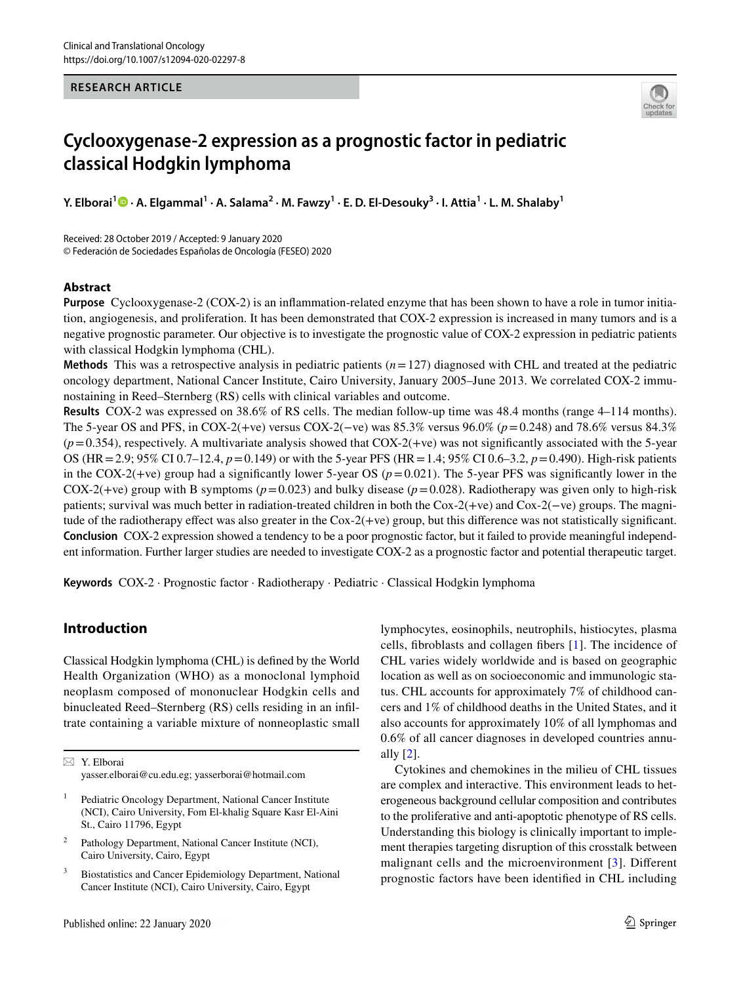#### **RESEARCH ARTICLE**



# **Cyclooxygenase‑2 expression as a prognostic factor in pediatric classical Hodgkin lymphoma**

**Y. Elborai1 · A. Elgammal1 · A. Salama2 · M. Fawzy<sup>1</sup> · E. D. El‑Desouky3 · I. Attia1 · L. M. Shalaby1**

Received: 28 October 2019 / Accepted: 9 January 2020 © Federación de Sociedades Españolas de Oncología (FESEO) 2020

## **Abstract**

**Purpose** Cyclooxygenase-2 (COX-2) is an infammation-related enzyme that has been shown to have a role in tumor initiation, angiogenesis, and proliferation. It has been demonstrated that COX-2 expression is increased in many tumors and is a negative prognostic parameter. Our objective is to investigate the prognostic value of COX-2 expression in pediatric patients with classical Hodgkin lymphoma (CHL).

**Methods** This was a retrospective analysis in pediatric patients (*n*=127) diagnosed with CHL and treated at the pediatric oncology department, National Cancer Institute, Cairo University, January 2005–June 2013. We correlated COX-2 immunostaining in Reed–Sternberg (RS) cells with clinical variables and outcome.

**Results** COX-2 was expressed on 38.6% of RS cells. The median follow-up time was 48.4 months (range 4–114 months). The 5-year OS and PFS, in COX-2(+ve) versus COX-2(−ve) was 85.3% versus 96.0% (*p*=0.248) and 78.6% versus 84.3%  $(p=0.354)$ , respectively. A multivariate analysis showed that COX-2(+ve) was not significantly associated with the 5-year OS (HR=2.9; 95% CI 0.7–12.4, *p*=0.149) or with the 5-year PFS (HR=1.4; 95% CI 0.6–3.2, *p*=0.490). High-risk patients in the COX-2(+ve) group had a significantly lower 5-year OS ( $p=0.021$ ). The 5-year PFS was significantly lower in the COX-2(+ve) group with B symptoms ( $p=0.023$ ) and bulky disease ( $p=0.028$ ). Radiotherapy was given only to high-risk patients; survival was much better in radiation-treated children in both the Cox-2(+ve) and Cox-2(−ve) groups. The magnitude of the radiotherapy efect was also greater in the Cox-2(+ve) group, but this diference was not statistically signifcant. **Conclusion** COX-2 expression showed a tendency to be a poor prognostic factor, but it failed to provide meaningful independent information. Further larger studies are needed to investigate COX-2 as a prognostic factor and potential therapeutic target.

**Keywords** COX-2 · Prognostic factor · Radiotherapy · Pediatric · Classical Hodgkin lymphoma

# **Introduction**

Classical Hodgkin lymphoma (CHL) is defned by the World Health Organization (WHO) as a monoclonal lymphoid neoplasm composed of mononuclear Hodgkin cells and binucleated Reed–Sternberg (RS) cells residing in an infltrate containing a variable mixture of nonneoplastic small

 $\boxtimes$  Y. Elborai yasser.elborai@cu.edu.eg; yasserborai@hotmail.com

- Pediatric Oncology Department, National Cancer Institute (NCI), Cairo University, Fom El-khalig Square Kasr El-Aini St., Cairo 11796, Egypt
- <sup>2</sup> Pathology Department, National Cancer Institute (NCI), Cairo University, Cairo, Egypt
- <sup>3</sup> Biostatistics and Cancer Epidemiology Department, National Cancer Institute (NCI), Cairo University, Cairo, Egypt

lymphocytes, eosinophils, neutrophils, histiocytes, plasma cells, fbroblasts and collagen fbers [[1\]](#page-7-0). The incidence of CHL varies widely worldwide and is based on geographic location as well as on socioeconomic and immunologic status. CHL accounts for approximately 7% of childhood cancers and 1% of childhood deaths in the United States, and it also accounts for approximately 10% of all lymphomas and 0.6% of all cancer diagnoses in developed countries annually  $[2]$  $[2]$ .

Cytokines and chemokines in the milieu of CHL tissues are complex and interactive. This environment leads to heterogeneous background cellular composition and contributes to the proliferative and anti-apoptotic phenotype of RS cells. Understanding this biology is clinically important to implement therapies targeting disruption of this crosstalk between malignant cells and the microenvironment [[3](#page-7-2)]. Diferent prognostic factors have been identifed in CHL including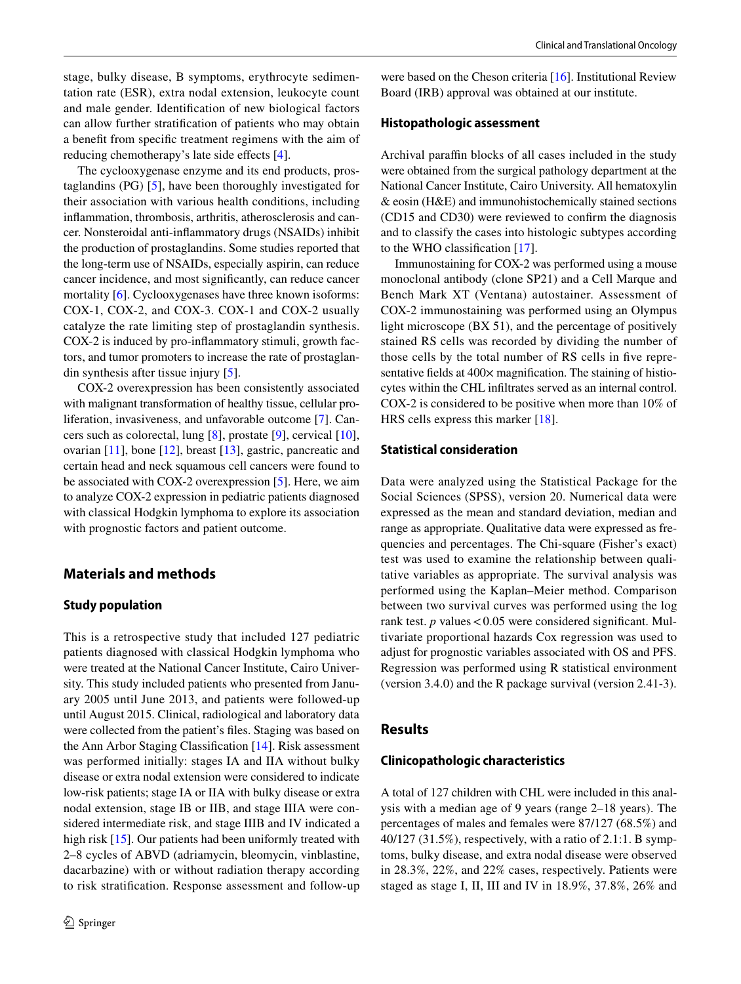stage, bulky disease, B symptoms, erythrocyte sedimentation rate (ESR), extra nodal extension, leukocyte count and male gender. Identifcation of new biological factors can allow further stratifcation of patients who may obtain a beneft from specifc treatment regimens with the aim of reducing chemotherapy's late side effects [[4](#page-7-3)].

The cyclooxygenase enzyme and its end products, prostaglandins (PG) [[5\]](#page-7-4), have been thoroughly investigated for their association with various health conditions, including infammation, thrombosis, arthritis, atherosclerosis and cancer. Nonsteroidal anti-infammatory drugs (NSAIDs) inhibit the production of prostaglandins. Some studies reported that the long-term use of NSAIDs, especially aspirin, can reduce cancer incidence, and most signifcantly, can reduce cancer mortality [[6\]](#page-7-5). Cyclooxygenases have three known isoforms: COX-1, COX-2, and COX-3. COX-1 and COX-2 usually catalyze the rate limiting step of prostaglandin synthesis. COX-2 is induced by pro-infammatory stimuli, growth factors, and tumor promoters to increase the rate of prostaglandin synthesis after tissue injury [[5\]](#page-7-4).

COX-2 overexpression has been consistently associated with malignant transformation of healthy tissue, cellular proliferation, invasiveness, and unfavorable outcome [\[7](#page-7-6)]. Cancers such as colorectal, lung [\[8](#page-7-7)], prostate [[9\]](#page-7-8), cervical [\[10](#page-7-9)], ovarian [\[11](#page-7-10)], bone [\[12](#page-7-11)], breast [[13\]](#page-7-12), gastric, pancreatic and certain head and neck squamous cell cancers were found to be associated with COX-2 overexpression [[5\]](#page-7-4). Here, we aim to analyze COX-2 expression in pediatric patients diagnosed with classical Hodgkin lymphoma to explore its association with prognostic factors and patient outcome.

## **Materials and methods**

#### **Study population**

This is a retrospective study that included 127 pediatric patients diagnosed with classical Hodgkin lymphoma who were treated at the National Cancer Institute, Cairo University. This study included patients who presented from January 2005 until June 2013, and patients were followed-up until August 2015. Clinical, radiological and laboratory data were collected from the patient's fles. Staging was based on the Ann Arbor Staging Classifcation [\[14](#page-7-13)]. Risk assessment was performed initially: stages IA and IIA without bulky disease or extra nodal extension were considered to indicate low-risk patients; stage IA or IIA with bulky disease or extra nodal extension, stage IB or IIB, and stage IIIA were considered intermediate risk, and stage IIIB and IV indicated a high risk [\[15](#page-7-14)]. Our patients had been uniformly treated with 2–8 cycles of ABVD (adriamycin, bleomycin, vinblastine, dacarbazine) with or without radiation therapy according to risk stratifcation. Response assessment and follow-up

were based on the Cheson criteria [[16\]](#page-7-15). Institutional Review Board (IRB) approval was obtained at our institute.

#### **Histopathologic assessment**

Archival paraffin blocks of all cases included in the study were obtained from the surgical pathology department at the National Cancer Institute, Cairo University. All hematoxylin & eosin (H&E) and immunohistochemically stained sections (CD15 and CD30) were reviewed to confrm the diagnosis and to classify the cases into histologic subtypes according to the WHO classifcation [\[17\]](#page-7-16).

Immunostaining for COX-2 was performed using a mouse monoclonal antibody (clone SP21) and a Cell Marque and Bench Mark XT (Ventana) autostainer. Assessment of COX-2 immunostaining was performed using an Olympus light microscope (BX 51), and the percentage of positively stained RS cells was recorded by dividing the number of those cells by the total number of RS cells in fve representative fields at 400 $\times$  magnification. The staining of histiocytes within the CHL infltrates served as an internal control. COX-2 is considered to be positive when more than 10% of HRS cells express this marker [\[18](#page-8-0)].

## **Statistical consideration**

Data were analyzed using the Statistical Package for the Social Sciences (SPSS), version 20. Numerical data were expressed as the mean and standard deviation, median and range as appropriate. Qualitative data were expressed as frequencies and percentages. The Chi-square (Fisher's exact) test was used to examine the relationship between qualitative variables as appropriate. The survival analysis was performed using the Kaplan–Meier method. Comparison between two survival curves was performed using the log rank test.  $p$  values < 0.05 were considered significant. Multivariate proportional hazards Cox regression was used to adjust for prognostic variables associated with OS and PFS. Regression was performed using R statistical environment (version 3.4.0) and the R package survival (version 2.41-3).

#### **Results**

#### **Clinicopathologic characteristics**

A total of 127 children with CHL were included in this analysis with a median age of 9 years (range 2–18 years). The percentages of males and females were 87/127 (68.5%) and 40/127 (31.5%), respectively, with a ratio of 2.1:1. B symptoms, bulky disease, and extra nodal disease were observed in 28.3%, 22%, and 22% cases, respectively. Patients were staged as stage I, II, III and IV in 18.9%, 37.8%, 26% and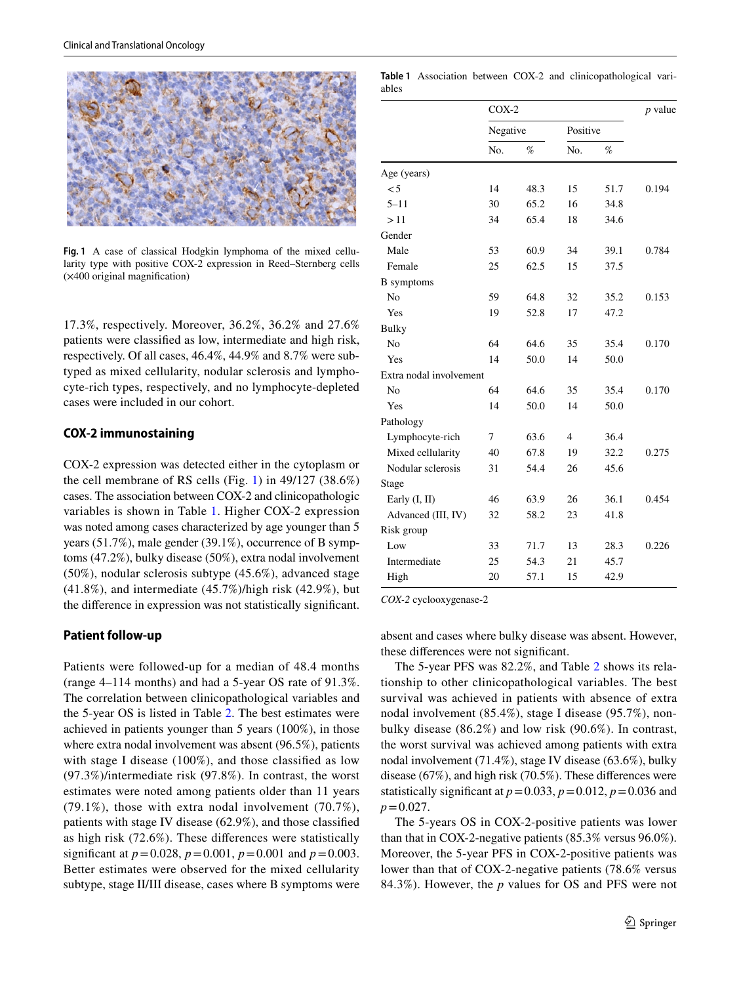

<span id="page-2-0"></span>**Fig. 1** A case of classical Hodgkin lymphoma of the mixed cellularity type with positive COX-2 expression in Reed–Sternberg cells (×400 original magnifcation)

17.3%, respectively. Moreover, 36.2%, 36.2% and 27.6% patients were classifed as low, intermediate and high risk, respectively. Of all cases, 46.4%, 44.9% and 8.7% were subtyped as mixed cellularity, nodular sclerosis and lymphocyte-rich types, respectively, and no lymphocyte-depleted cases were included in our cohort.

## **COX‑2 immunostaining**

COX-2 expression was detected either in the cytoplasm or the cell membrane of RS cells (Fig. [1\)](#page-2-0) in 49/127 (38.6%) cases. The association between COX-2 and clinicopathologic variables is shown in Table [1.](#page-2-1) Higher COX-2 expression was noted among cases characterized by age younger than 5 years (51.7%), male gender (39.1%), occurrence of B symptoms (47.2%), bulky disease (50%), extra nodal involvement (50%), nodular sclerosis subtype (45.6%), advanced stage (41.8%), and intermediate (45.7%)/high risk (42.9%), but the diference in expression was not statistically signifcant.

#### **Patient follow‑up**

Patients were followed-up for a median of 48.4 months (range 4–114 months) and had a 5-year OS rate of 91.3%. The correlation between clinicopathological variables and the 5-year OS is listed in Table [2](#page-3-0). The best estimates were achieved in patients younger than 5 years (100%), in those where extra nodal involvement was absent (96.5%), patients with stage I disease (100%), and those classifed as low (97.3%)/intermediate risk (97.8%). In contrast, the worst estimates were noted among patients older than 11 years (79.1%), those with extra nodal involvement (70.7%), patients with stage IV disease (62.9%), and those classifed as high risk (72.6%). These diferences were statistically signifcant at *p*=0.028, *p*=0.001, *p*=0.001 and *p*=0.003. Better estimates were observed for the mixed cellularity subtype, stage II/III disease, cases where B symptoms were

<span id="page-2-1"></span>**Table 1** Association between COX-2 and clinicopathological variables

|                         | $COX-2$  | $p$ value |                |      |       |
|-------------------------|----------|-----------|----------------|------|-------|
|                         | Negative |           | Positive       |      |       |
|                         | No.      | %         | No.            | %    |       |
| Age (years)             |          |           |                |      |       |
| $\leq 5$                | 14       | 48.3      | 15             | 51.7 | 0.194 |
| $5 - 11$                | 30       | 65.2      | 16             | 34.8 |       |
| >11                     | 34       | 65.4      | 18             | 34.6 |       |
| Gender                  |          |           |                |      |       |
| Male                    | 53       | 60.9      | 34             | 39.1 | 0.784 |
| Female                  | 25       | 62.5      | 15             | 37.5 |       |
| <b>B</b> symptoms       |          |           |                |      |       |
| N <sub>0</sub>          | 59       | 64.8      | 32             | 35.2 | 0.153 |
| Yes                     | 19       | 52.8      | 17             | 47.2 |       |
| <b>Bulky</b>            |          |           |                |      |       |
| N <sub>o</sub>          | 64       | 64.6      | 35             | 35.4 | 0.170 |
| Yes                     | 14       | 50.0      | 14             | 50.0 |       |
| Extra nodal involvement |          |           |                |      |       |
| No                      | 64       | 64.6      | 35             | 35.4 | 0.170 |
| Yes                     | 14       | 50.0      | 14             | 50.0 |       |
| Pathology               |          |           |                |      |       |
| Lymphocyte-rich         | 7        | 63.6      | $\overline{4}$ | 36.4 |       |
| Mixed cellularity       | 40       | 67.8      | 19             | 32.2 | 0.275 |
| Nodular sclerosis       | 31       | 54.4      | 26             | 45.6 |       |
| Stage                   |          |           |                |      |       |
| Early $(I, II)$         | 46       | 63.9      | 26             | 36.1 | 0.454 |
| Advanced (III, IV)      | 32       | 58.2      | 23             | 41.8 |       |
| Risk group              |          |           |                |      |       |
| Low                     | 33       | 71.7      | 13             | 28.3 | 0.226 |
| Intermediate            | 25       | 54.3      | 21             | 45.7 |       |
| High                    | 20       | 57.1      | 15             | 42.9 |       |

*COX-2* cyclooxygenase-2

absent and cases where bulky disease was absent. However, these diferences were not signifcant.

The 5-year PFS was 82.2%, and Table [2](#page-3-0) shows its relationship to other clinicopathological variables. The best survival was achieved in patients with absence of extra nodal involvement (85.4%), stage I disease (95.7%), nonbulky disease (86.2%) and low risk (90.6%). In contrast, the worst survival was achieved among patients with extra nodal involvement (71.4%), stage IV disease (63.6%), bulky disease (67%), and high risk (70.5%). These diferences were statistically significant at  $p=0.033$ ,  $p=0.012$ ,  $p=0.036$  and  $p=0.027$ .

The 5-years OS in COX-2-positive patients was lower than that in COX-2-negative patients (85.3% versus 96.0%). Moreover, the 5-year PFS in COX-2-positive patients was lower than that of COX-2-negative patients (78.6% versus 84.3%). However, the *p* values for OS and PFS were not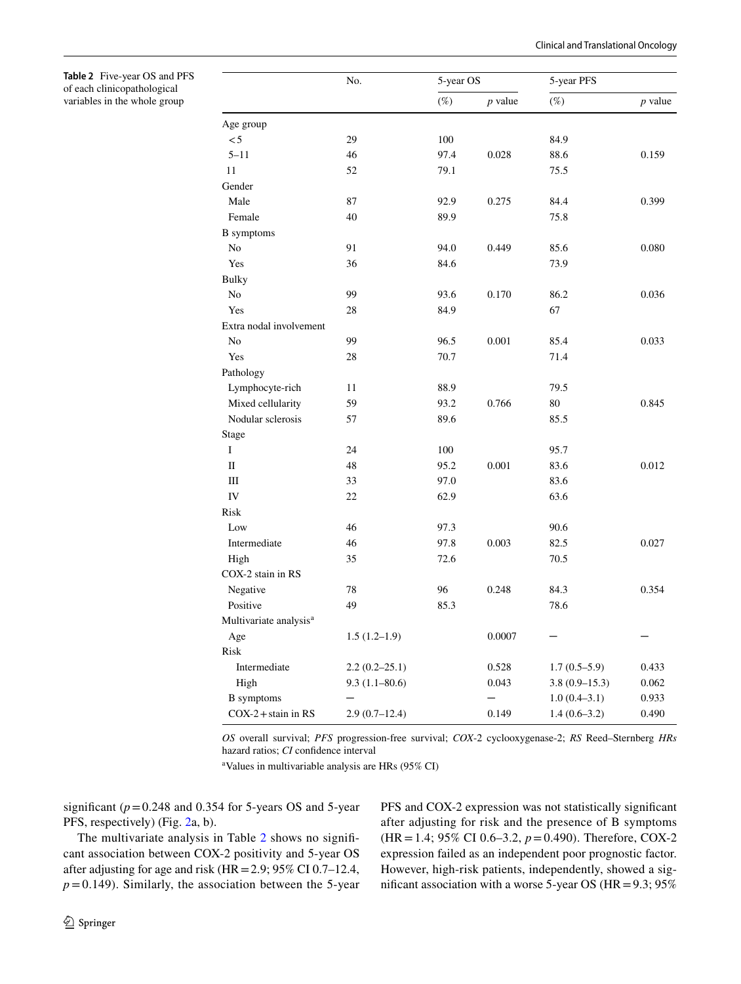Clinical and Translational Oncology

<span id="page-3-0"></span>**Table 2** Five-year OS and PFS of each clinicopathological variables in the whole group

|                                    | No.               | 5-year OS |           | 5-year PFS      |           |  |
|------------------------------------|-------------------|-----------|-----------|-----------------|-----------|--|
|                                    |                   | $(\%)$    | $p$ value | $(\%)$          | $p$ value |  |
| Age group                          |                   |           |           |                 |           |  |
| < 5                                | 29                | 100       |           | 84.9            |           |  |
| $5 - 11$                           | 46                | 97.4      | 0.028     | 88.6            | 0.159     |  |
| 11                                 | 52                | 79.1      |           | 75.5            |           |  |
| Gender                             |                   |           |           |                 |           |  |
| Male                               | 87                | 92.9      | 0.275     | 84.4            | 0.399     |  |
| Female                             | 40                | 89.9      |           | 75.8            |           |  |
| <b>B</b> symptoms                  |                   |           |           |                 |           |  |
| N <sub>o</sub>                     | 91                | 94.0      | 0.449     | 85.6            | 0.080     |  |
| Yes                                | 36                | 84.6      |           | 73.9            |           |  |
| <b>Bulky</b>                       |                   |           |           |                 |           |  |
| $\rm No$                           | 99                | 93.6      | 0.170     | 86.2            | 0.036     |  |
| Yes                                | 28                | 84.9      |           | 67              |           |  |
| Extra nodal involvement            |                   |           |           |                 |           |  |
| N <sub>0</sub>                     | 99                | 96.5      | 0.001     | 85.4            | 0.033     |  |
| Yes                                | 28                | 70.7      |           | 71.4            |           |  |
| Pathology                          |                   |           |           |                 |           |  |
| Lymphocyte-rich                    | 11                | 88.9      |           | 79.5            |           |  |
| Mixed cellularity                  | 59                | 93.2      | 0.766     | 80              | 0.845     |  |
| Nodular sclerosis                  | 57                | 89.6      |           | 85.5            |           |  |
| Stage                              |                   |           |           |                 |           |  |
| Ι                                  | 24                | 100       |           | 95.7            |           |  |
| $\mathbf{I}$                       | 48                | 95.2      | 0.001     | 83.6            | 0.012     |  |
| Ш                                  | 33                | 97.0      |           | 83.6            |           |  |
| IV                                 | 22                | 62.9      |           | 63.6            |           |  |
| Risk                               |                   |           |           |                 |           |  |
| Low                                | 46                | 97.3      |           | 90.6            |           |  |
| Intermediate                       | 46                | 97.8      | 0.003     | 82.5            | 0.027     |  |
| High                               | 35                | 72.6      |           | 70.5            |           |  |
| COX-2 stain in RS                  |                   |           |           |                 |           |  |
| Negative                           | 78                | 96        | 0.248     | 84.3            | 0.354     |  |
| Positive                           | 49                | 85.3      |           | 78.6            |           |  |
| Multivariate analysis <sup>a</sup> |                   |           |           |                 |           |  |
| Age                                | $1.5(1.2-1.9)$    |           | 0.0007    |                 |           |  |
| Risk                               |                   |           |           |                 |           |  |
| Intermediate                       | $2.2(0.2-25.1)$   |           | 0.528     | $1.7(0.5-5.9)$  | 0.433     |  |
| High                               | $9.3(1.1 - 80.6)$ |           | 0.043     | $3.8(0.9-15.3)$ | 0.062     |  |
| <b>B</b> symptoms                  |                   |           |           | $1.0(0.4-3.1)$  | 0.933     |  |
| $COX-2 + \text{stain}$ in RS       | $2.9(0.7-12.4)$   |           | 0.149     | $1.4(0.6-3.2)$  | 0.490     |  |

*OS* overall survival; *PFS* progression-free survival; *COX*-2 cyclooxygenase-2; *RS* Reed–Sternberg *HRs* hazard ratios; *CI* confidence interval

a Values in multivariable analysis are HRs (95% CI)

significant  $(p=0.248$  and 0.354 for 5-years OS and 5-year PFS, respectively) (Fig. [2a](#page-4-0), b).

The multivariate analysis in Table [2](#page-3-0) shows no signifcant association between COX-2 positivity and 5-year OS after adjusting for age and risk (HR=2.9; 95% CI 0.7–12.4,  $p=0.149$ ). Similarly, the association between the 5-year PFS and COX-2 expression was not statistically signifcant after adjusting for risk and the presence of B symptoms (HR=1.4; 95% CI 0.6–3.2, *p*=0.490). Therefore, COX-2 expression failed as an independent poor prognostic factor. However, high-risk patients, independently, showed a significant association with a worse 5-year OS ( $HR = 9.3$ ; 95%)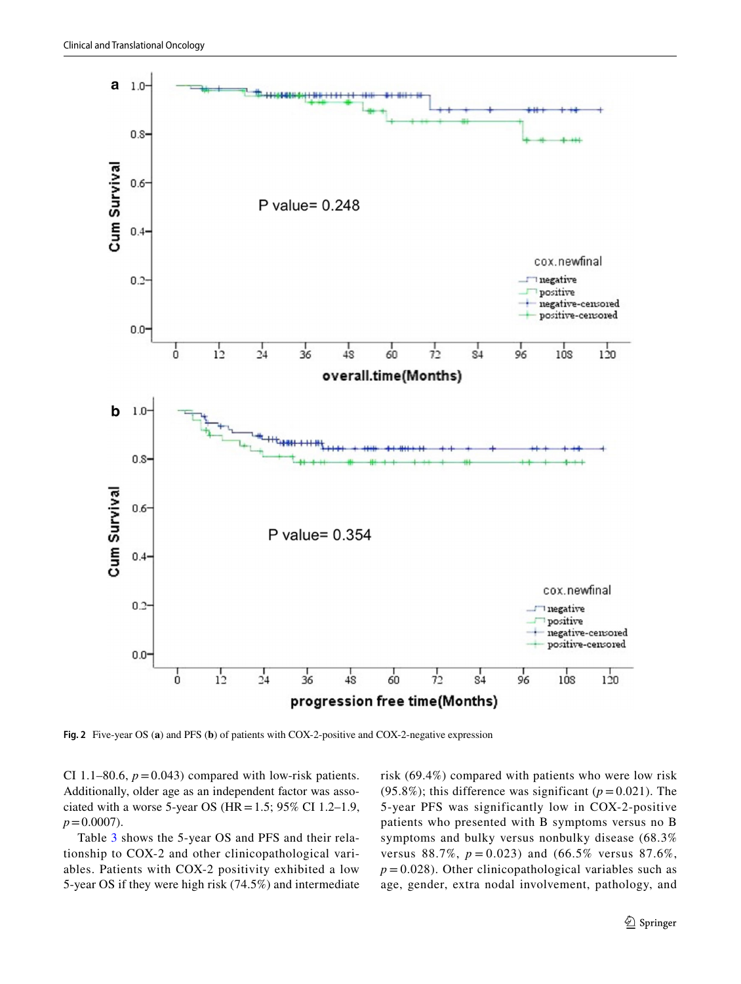

<span id="page-4-0"></span>**Fig. 2** Five-year OS (**a**) and PFS (**b**) of patients with COX-2-positive and COX-2-negative expression

CI 1.1–80.6,  $p = 0.043$ ) compared with low-risk patients. Additionally, older age as an independent factor was associated with a worse 5-year OS ( $HR = 1.5$ ; 95% CI 1.2–1.9,  $p = 0.0007$ ).

Table [3](#page-5-0) shows the 5-year OS and PFS and their relationship to COX-2 and other clinicopathological variables. Patients with COX-2 positivity exhibited a low 5-year OS if they were high risk (74.5%) and intermediate risk (69.4%) compared with patients who were low risk (95.8%); this difference was significant ( $p = 0.021$ ). The 5-year PFS was significantly low in COX-2-positive patients who presented with B symptoms versus no B symptoms and bulky versus nonbulky disease (68.3% versus 88.7%,  $p = 0.023$ ) and (66.5% versus 87.6%,  $p = 0.028$ ). Other clinicopathological variables such as age, gender, extra nodal involvement, pathology, and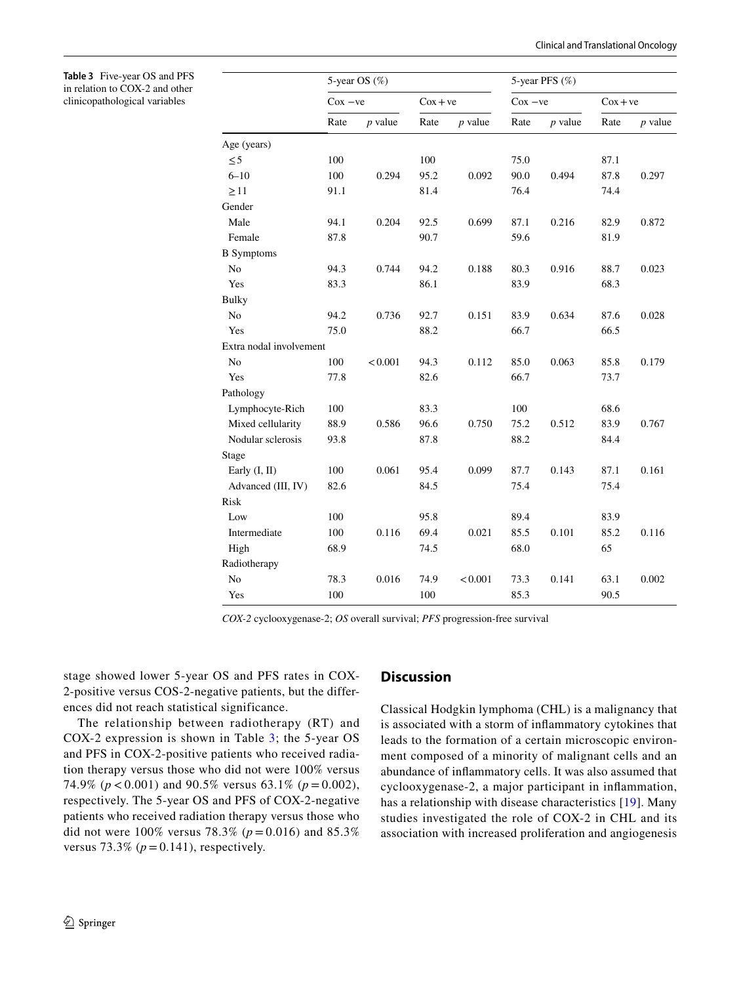<span id="page-5-0"></span>**Table 3** Five-year OS and PFS in relation to COX-2 and other clinicopathological variables

|                         |      | 5-year OS $(\%)$ |      |               |      | 5-year PFS (%) |      |               |  |
|-------------------------|------|------------------|------|---------------|------|----------------|------|---------------|--|
|                         |      | $Cox - ve$       |      | $\cos + \vee$ |      | $Cox - ve$     |      | $\cos + \vee$ |  |
|                         | Rate | $p$ value        | Rate | $p$ value     | Rate | $p$ value      | Rate | $p$ value     |  |
| Age (years)             |      |                  |      |               |      |                |      |               |  |
| $\leq 5$                | 100  |                  | 100  |               | 75.0 |                | 87.1 |               |  |
| $6 - 10$                | 100  | 0.294            | 95.2 | 0.092         | 90.0 | 0.494          | 87.8 | 0.297         |  |
| $\geq$ 11               | 91.1 |                  | 81.4 |               | 76.4 |                | 74.4 |               |  |
| Gender                  |      |                  |      |               |      |                |      |               |  |
| Male                    | 94.1 | 0.204            | 92.5 | 0.699         | 87.1 | 0.216          | 82.9 | 0.872         |  |
| Female                  | 87.8 |                  | 90.7 |               | 59.6 |                | 81.9 |               |  |
| <b>B</b> Symptoms       |      |                  |      |               |      |                |      |               |  |
| N <sub>o</sub>          | 94.3 | 0.744            | 94.2 | 0.188         | 80.3 | 0.916          | 88.7 | 0.023         |  |
| Yes                     | 83.3 |                  | 86.1 |               | 83.9 |                | 68.3 |               |  |
| <b>Bulky</b>            |      |                  |      |               |      |                |      |               |  |
| N <sub>o</sub>          | 94.2 | 0.736            | 92.7 | 0.151         | 83.9 | 0.634          | 87.6 | 0.028         |  |
| Yes                     | 75.0 |                  | 88.2 |               | 66.7 |                | 66.5 |               |  |
| Extra nodal involvement |      |                  |      |               |      |                |      |               |  |
| N <sub>o</sub>          | 100  | < 0.001          | 94.3 | 0.112         | 85.0 | 0.063          | 85.8 | 0.179         |  |
| Yes                     | 77.8 |                  | 82.6 |               | 66.7 |                | 73.7 |               |  |
| Pathology               |      |                  |      |               |      |                |      |               |  |
| Lymphocyte-Rich         | 100  |                  | 83.3 |               | 100  |                | 68.6 |               |  |
| Mixed cellularity       | 88.9 | 0.586            | 96.6 | 0.750         | 75.2 | 0.512          | 83.9 | 0.767         |  |
| Nodular sclerosis       | 93.8 |                  | 87.8 |               | 88.2 |                | 84.4 |               |  |
| Stage                   |      |                  |      |               |      |                |      |               |  |
| Early (I, II)           | 100  | 0.061            | 95.4 | 0.099         | 87.7 | 0.143          | 87.1 | 0.161         |  |
| Advanced (III, IV)      | 82.6 |                  | 84.5 |               | 75.4 |                | 75.4 |               |  |
| Risk                    |      |                  |      |               |      |                |      |               |  |
| Low                     | 100  |                  | 95.8 |               | 89.4 |                | 83.9 |               |  |
| Intermediate            | 100  | 0.116            | 69.4 | 0.021         | 85.5 | 0.101          | 85.2 | 0.116         |  |
| High                    | 68.9 |                  | 74.5 |               | 68.0 |                | 65   |               |  |
| Radiotherapy            |      |                  |      |               |      |                |      |               |  |
| N <sub>o</sub>          | 78.3 | 0.016            | 74.9 | < 0.001       | 73.3 | 0.141          | 63.1 | 0.002         |  |
| Yes                     | 100  |                  | 100  |               | 85.3 |                | 90.5 |               |  |

*COX-2* cyclooxygenase-2; *OS* overall survival; *PFS* progression-free survival

stage showed lower 5-year OS and PFS rates in COX-2-positive versus COS-2-negative patients, but the differences did not reach statistical significance.

The relationship between radiotherapy (RT) and COX-2 expression is shown in Table [3;](#page-5-0) the 5-year OS and PFS in COX-2-positive patients who received radiation therapy versus those who did not were 100% versus 74.9% (*p* < 0.001) and 90.5% versus 63.1% (*p* = 0.002), respectively. The 5-year OS and PFS of COX-2-negative patients who received radiation therapy versus those who did not were  $100\%$  versus 78.3% ( $p = 0.016$ ) and 85.3% versus  $73.3\%$  ( $p = 0.141$ ), respectively.

## **Discussion**

Classical Hodgkin lymphoma (CHL) is a malignancy that is associated with a storm of infammatory cytokines that leads to the formation of a certain microscopic environment composed of a minority of malignant cells and an abundance of infammatory cells. It was also assumed that cyclooxygenase-2, a major participant in infammation, has a relationship with disease characteristics [\[19\]](#page-8-1). Many studies investigated the role of COX-2 in CHL and its association with increased proliferation and angiogenesis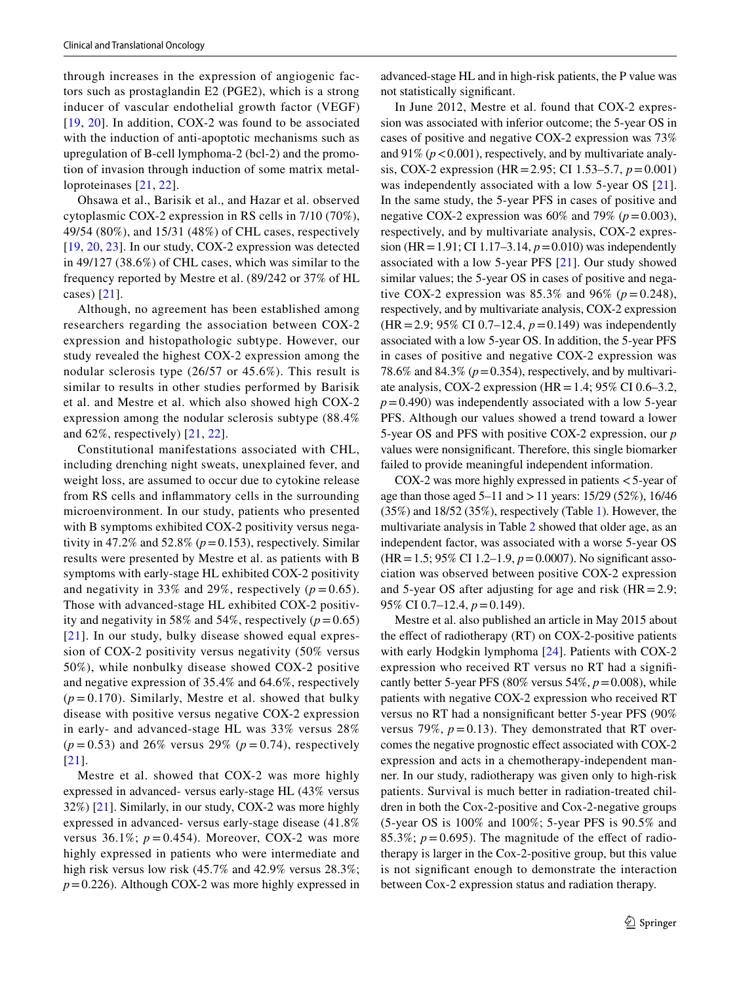through increases in the expression of angiogenic factors such as prostaglandin E2 (PGE2), which is a strong inducer of vascular endothelial growth factor (VEGF) [[19](#page-8-1), [20](#page-8-2)]. In addition, COX-2 was found to be associated with the induction of anti-apoptotic mechanisms such as upregulation of B-cell lymphoma-2 (bcl-2) and the promotion of invasion through induction of some matrix metalloproteinases [\[21,](#page-8-3) [22](#page-8-4)].

Ohsawa et al., Barisik et al., and Hazar et al. observed cytoplasmic COX-2 expression in RS cells in 7/10 (70%), 49/54 (80%), and 15/31 (48%) of CHL cases, respectively [[19,](#page-8-1) [20](#page-8-2), [23\]](#page-8-5). In our study, COX-2 expression was detected in 49/127 (38.6%) of CHL cases, which was similar to the frequency reported by Mestre et al. (89/242 or 37% of HL cases) [[21](#page-8-3)].

Although, no agreement has been established among researchers regarding the association between COX-2 expression and histopathologic subtype. However, our study revealed the highest COX-2 expression among the nodular sclerosis type (26/57 or 45.6%). This result is similar to results in other studies performed by Barisik et al. and Mestre et al. which also showed high COX-2 expression among the nodular sclerosis subtype (88.4% and 62%, respectively) [[21](#page-8-3), [22\]](#page-8-4).

Constitutional manifestations associated with CHL, including drenching night sweats, unexplained fever, and weight loss, are assumed to occur due to cytokine release from RS cells and infammatory cells in the surrounding microenvironment. In our study, patients who presented with B symptoms exhibited COX-2 positivity versus negativity in 47.2% and 52.8% ( $p = 0.153$ ), respectively. Similar results were presented by Mestre et al. as patients with B symptoms with early-stage HL exhibited COX-2 positivity and negativity in 33% and 29%, respectively  $(p=0.65)$ . Those with advanced-stage HL exhibited COX-2 positivity and negativity in 58% and 54%, respectively  $(p=0.65)$ [[21](#page-8-3)]. In our study, bulky disease showed equal expression of COX-2 positivity versus negativity (50% versus 50%), while nonbulky disease showed COX-2 positive and negative expression of 35.4% and 64.6%, respectively  $(p=0.170)$ . Similarly, Mestre et al. showed that bulky disease with positive versus negative COX-2 expression in early- and advanced-stage HL was 33% versus 28%  $(p = 0.53)$  and 26% versus 29%  $(p = 0.74)$ , respectively [[21\]](#page-8-3).

Mestre et al. showed that COX-2 was more highly expressed in advanced- versus early-stage HL (43% versus 32%) [[21\]](#page-8-3). Similarly, in our study, COX-2 was more highly expressed in advanced- versus early-stage disease (41.8% versus 36.1%;  $p = 0.454$ ). Moreover, COX-2 was more highly expressed in patients who were intermediate and high risk versus low risk (45.7% and 42.9% versus 28.3%; *p*=0.226). Although COX-2 was more highly expressed in advanced-stage HL and in high-risk patients, the P value was not statistically signifcant.

In June 2012, Mestre et al. found that COX-2 expression was associated with inferior outcome; the 5-year OS in cases of positive and negative COX-2 expression was 73% and  $91\%$  ( $p < 0.001$ ), respectively, and by multivariate analysis, COX-2 expression (HR=2.95; CI 1.53–5.7, *p*=0.001) was independently associated with a low 5-year OS [[21](#page-8-3)]. In the same study, the 5-year PFS in cases of positive and negative COX-2 expression was  $60\%$  and  $79\%$  ( $p=0.003$ ), respectively, and by multivariate analysis, COX-2 expression (HR=1.91; CI 1.17–3.14, *p*=0.010) was independently associated with a low 5-year PFS [\[21\]](#page-8-3). Our study showed similar values; the 5-year OS in cases of positive and negative COX-2 expression was  $85.3\%$  and  $96\%$  ( $p = 0.248$ ), respectively, and by multivariate analysis, COX-2 expression (HR=2.9; 95% CI 0.7–12.4, *p*=0.149) was independently associated with a low 5-year OS. In addition, the 5-year PFS in cases of positive and negative COX-2 expression was 78.6% and 84.3%  $(p=0.354)$ , respectively, and by multivariate analysis, COX-2 expression (HR = 1.4; 95% CI 0.6–3.2,  $p=0.490$ ) was independently associated with a low 5-year PFS. Although our values showed a trend toward a lower 5-year OS and PFS with positive COX-2 expression, our *p* values were nonsignifcant. Therefore, this single biomarker failed to provide meaningful independent information.

COX-2 was more highly expressed in patients  $<$  5-year of age than those aged  $5-11$  and  $>11$  years:  $15/29$  (52%),  $16/46$ (35%) and 18/52 (35%), respectively (Table [1](#page-2-1)). However, the multivariate analysis in Table [2](#page-3-0) showed that older age, as an independent factor, was associated with a worse 5-year OS (HR=1.5; 95% CI 1.2–1.9, *p*=0.0007). No signifcant association was observed between positive COX-2 expression and 5-year OS after adjusting for age and risk  $(HR=2.9;$ 95% CI 0.7–12.4, *p*=0.149).

Mestre et al. also published an article in May 2015 about the effect of radiotherapy (RT) on COX-2-positive patients with early Hodgkin lymphoma [\[24](#page-8-6)]. Patients with COX-2 expression who received RT versus no RT had a signifcantly better 5-year PFS (80% versus 54%,  $p = 0.008$ ), while patients with negative COX-2 expression who received RT versus no RT had a nonsignifcant better 5-year PFS (90% versus 79%,  $p = 0.13$ ). They demonstrated that RT overcomes the negative prognostic efect associated with COX-2 expression and acts in a chemotherapy-independent manner. In our study, radiotherapy was given only to high-risk patients. Survival is much better in radiation-treated children in both the Cox-2-positive and Cox-2-negative groups (5-year OS is 100% and 100%; 5-year PFS is 90.5% and 85.3%;  $p = 0.695$ ). The magnitude of the effect of radiotherapy is larger in the Cox-2-positive group, but this value is not signifcant enough to demonstrate the interaction between Cox-2 expression status and radiation therapy.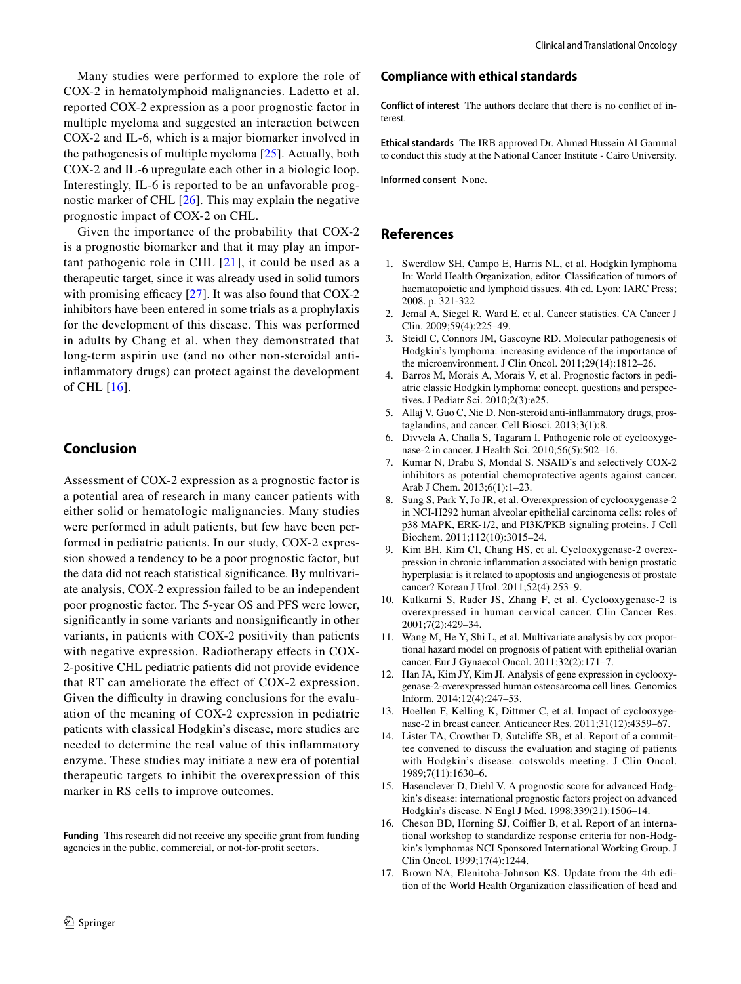Many studies were performed to explore the role of COX-2 in hematolymphoid malignancies. Ladetto et al. reported COX-2 expression as a poor prognostic factor in multiple myeloma and suggested an interaction between COX-2 and IL-6, which is a major biomarker involved in the pathogenesis of multiple myeloma [[25\]](#page-8-7). Actually, both COX-2 and IL-6 upregulate each other in a biologic loop. Interestingly, IL-6 is reported to be an unfavorable prognostic marker of CHL [[26](#page-8-8)]. This may explain the negative prognostic impact of COX-2 on CHL.

Given the importance of the probability that COX-2 is a prognostic biomarker and that it may play an important pathogenic role in CHL  $[21]$  $[21]$  $[21]$ , it could be used as a therapeutic target, since it was already used in solid tumors with promising efficacy  $[27]$  $[27]$ . It was also found that COX-2 inhibitors have been entered in some trials as a prophylaxis for the development of this disease. This was performed in adults by Chang et al. when they demonstrated that long-term aspirin use (and no other non-steroidal antiinfammatory drugs) can protect against the development of CHL [[16](#page-7-15)].

## **Conclusion**

Assessment of COX-2 expression as a prognostic factor is a potential area of research in many cancer patients with either solid or hematologic malignancies. Many studies were performed in adult patients, but few have been performed in pediatric patients. In our study, COX-2 expression showed a tendency to be a poor prognostic factor, but the data did not reach statistical signifcance. By multivariate analysis, COX-2 expression failed to be an independent poor prognostic factor. The 5-year OS and PFS were lower, signifcantly in some variants and nonsignifcantly in other variants, in patients with COX-2 positivity than patients with negative expression. Radiotherapy effects in COX-2-positive CHL pediatric patients did not provide evidence that RT can ameliorate the efect of COX-2 expression. Given the difficulty in drawing conclusions for the evaluation of the meaning of COX-2 expression in pediatric patients with classical Hodgkin's disease, more studies are needed to determine the real value of this infammatory enzyme. These studies may initiate a new era of potential therapeutic targets to inhibit the overexpression of this marker in RS cells to improve outcomes.

**Funding** This research did not receive any specifc grant from funding agencies in the public, commercial, or not-for-proft sectors.

## **Compliance with ethical standards**

**Conflict of interest** The authors declare that there is no confict of interest.

**Ethical standards** The IRB approved Dr. Ahmed Hussein Al Gammal to conduct this study at the National Cancer Institute - Cairo University.

**Informed consent** None.

## **References**

- <span id="page-7-0"></span>1. Swerdlow SH, Campo E, Harris NL, et al. Hodgkin lymphoma In: World Health Organization, editor. Classifcation of tumors of haematopoietic and lymphoid tissues. 4th ed. Lyon: IARC Press; 2008. p. 321-322
- <span id="page-7-1"></span>2. Jemal A, Siegel R, Ward E, et al. Cancer statistics. CA Cancer J Clin. 2009;59(4):225–49.
- <span id="page-7-2"></span>3. Steidl C, Connors JM, Gascoyne RD. Molecular pathogenesis of Hodgkin's lymphoma: increasing evidence of the importance of the microenvironment. J Clin Oncol. 2011;29(14):1812–26.
- <span id="page-7-3"></span>4. Barros M, Morais A, Morais V, et al. Prognostic factors in pediatric classic Hodgkin lymphoma: concept, questions and perspectives. J Pediatr Sci. 2010;2(3):e25.
- <span id="page-7-4"></span>5. Allaj V, Guo C, Nie D. Non-steroid anti-infammatory drugs, prostaglandins, and cancer. Cell Biosci. 2013;3(1):8.
- <span id="page-7-5"></span>6. Divvela A, Challa S, Tagaram I. Pathogenic role of cyclooxygenase-2 in cancer. J Health Sci. 2010;56(5):502–16.
- <span id="page-7-6"></span>7. Kumar N, Drabu S, Mondal S. NSAID's and selectively COX-2 inhibitors as potential chemoprotective agents against cancer. Arab J Chem. 2013;6(1):1–23.
- <span id="page-7-7"></span>8. Sung S, Park Y, Jo JR, et al. Overexpression of cyclooxygenase-2 in NCI-H292 human alveolar epithelial carcinoma cells: roles of p38 MAPK, ERK-1/2, and PI3K/PKB signaling proteins. J Cell Biochem. 2011;112(10):3015–24.
- <span id="page-7-8"></span>9. Kim BH, Kim CI, Chang HS, et al. Cyclooxygenase-2 overexpression in chronic infammation associated with benign prostatic hyperplasia: is it related to apoptosis and angiogenesis of prostate cancer? Korean J Urol. 2011;52(4):253–9.
- <span id="page-7-9"></span>10. Kulkarni S, Rader JS, Zhang F, et al. Cyclooxygenase-2 is overexpressed in human cervical cancer. Clin Cancer Res. 2001;7(2):429–34.
- <span id="page-7-10"></span>11. Wang M, He Y, Shi L, et al. Multivariate analysis by cox proportional hazard model on prognosis of patient with epithelial ovarian cancer. Eur J Gynaecol Oncol. 2011;32(2):171–7.
- <span id="page-7-11"></span>12. Han JA, Kim JY, Kim JI. Analysis of gene expression in cyclooxygenase-2-overexpressed human osteosarcoma cell lines. Genomics Inform. 2014;12(4):247–53.
- <span id="page-7-12"></span>13. Hoellen F, Kelling K, Dittmer C, et al. Impact of cyclooxygenase-2 in breast cancer. Anticancer Res. 2011;31(12):4359–67.
- <span id="page-7-13"></span>14. Lister TA, Crowther D, Sutclife SB, et al. Report of a committee convened to discuss the evaluation and staging of patients with Hodgkin's disease: cotswolds meeting. J Clin Oncol. 1989;7(11):1630–6.
- <span id="page-7-14"></span>15. Hasenclever D, Diehl V. A prognostic score for advanced Hodgkin's disease: international prognostic factors project on advanced Hodgkin's disease. N Engl J Med. 1998;339(21):1506–14.
- <span id="page-7-15"></span>16. Cheson BD, Horning SJ, Coiffier B, et al. Report of an international workshop to standardize response criteria for non-Hodgkin's lymphomas NCI Sponsored International Working Group. J Clin Oncol. 1999;17(4):1244.
- <span id="page-7-16"></span>17. Brown NA, Elenitoba-Johnson KS. Update from the 4th edition of the World Health Organization classifcation of head and